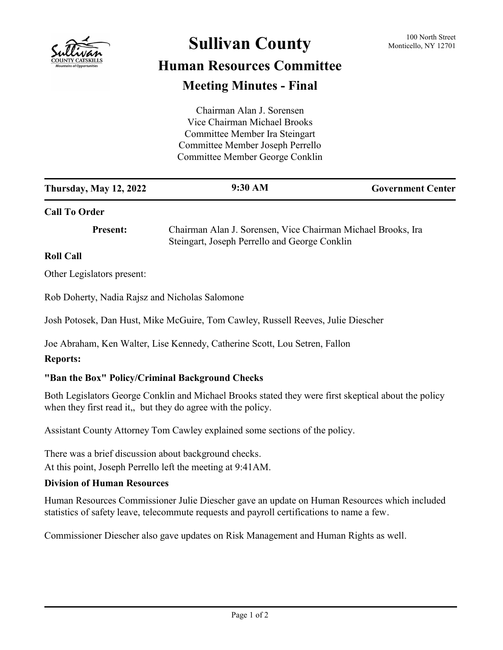

# **Sullivan County** 100 North Street 100 North Street

## **Human Resources Committee Meeting Minutes - Final**

|                                                 | Chairman Alan J. Sorensen                                                                                                                                           |                          |
|-------------------------------------------------|---------------------------------------------------------------------------------------------------------------------------------------------------------------------|--------------------------|
|                                                 | Vice Chairman Michael Brooks                                                                                                                                        |                          |
|                                                 | Committee Member Ira Steingart                                                                                                                                      |                          |
|                                                 | Committee Member Joseph Perrello                                                                                                                                    |                          |
|                                                 | Committee Member George Conklin                                                                                                                                     |                          |
|                                                 |                                                                                                                                                                     |                          |
| <b>Thursday, May 12, 2022</b>                   | 9:30 AM                                                                                                                                                             | <b>Government Center</b> |
| <b>Call To Order</b>                            |                                                                                                                                                                     |                          |
| <b>Present:</b>                                 | Chairman Alan J. Sorensen, Vice Chairman Michael Brooks, Ira<br>Steingart, Joseph Perrello and George Conklin                                                       |                          |
| <b>Roll Call</b>                                |                                                                                                                                                                     |                          |
|                                                 |                                                                                                                                                                     |                          |
| Other Legislators present:                      |                                                                                                                                                                     |                          |
| Rob Doherty, Nadia Rajsz and Nicholas Salomone  |                                                                                                                                                                     |                          |
|                                                 | Josh Potosek, Dan Hust, Mike McGuire, Tom Cawley, Russell Reeves, Julie Diescher                                                                                    |                          |
|                                                 | Joe Abraham, Ken Walter, Lise Kennedy, Catherine Scott, Lou Setren, Fallon                                                                                          |                          |
| <b>Reports:</b>                                 |                                                                                                                                                                     |                          |
| "Ban the Box" Policy/Criminal Background Checks |                                                                                                                                                                     |                          |
|                                                 | Both Legislators George Conklin and Michael Brooks stated they were first skeptical about the policy<br>when they first read it, but they do agree with the policy. |                          |

Assistant County Attorney Tom Cawley explained some sections of the policy.

There was a brief discussion about background checks. At this point, Joseph Perrello left the meeting at 9:41AM.

### **Division of Human Resources**

Human Resources Commissioner Julie Diescher gave an update on Human Resources which included statistics of safety leave, telecommute requests and payroll certifications to name a few.

Commissioner Diescher also gave updates on Risk Management and Human Rights as well.